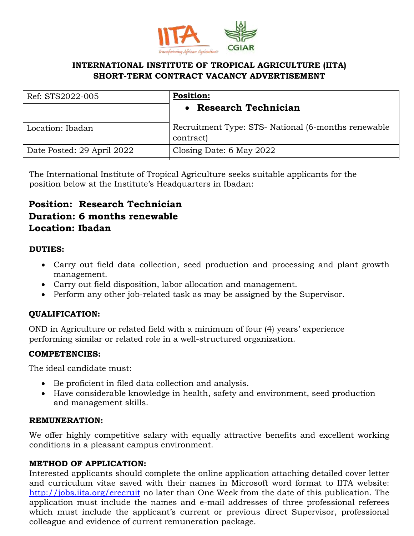

# **INTERNATIONAL INSTITUTE OF TROPICAL AGRICULTURE (IITA) SHORT-TERM CONTRACT VACANCY ADVERTISEMENT**

| Ref: STS2022-005           | <b>Position:</b>                                     |
|----------------------------|------------------------------------------------------|
|                            | <b>Research Technician</b>                           |
| Location: Ibadan           | Recruitment Type: STS- National (6-months renewable) |
|                            | contract)                                            |
| Date Posted: 29 April 2022 | Closing Date: 6 May 2022                             |

The International Institute of Tropical Agriculture seeks suitable applicants for the position below at the Institute's Headquarters in Ibadan:

# **Position: Research Technician Duration: 6 months renewable Location: Ibadan**

## **DUTIES:**

- Carry out field data collection, seed production and processing and plant growth management.
- Carry out field disposition, labor allocation and management.
- Perform any other job-related task as may be assigned by the Supervisor.

# **QUALIFICATION:**

OND in Agriculture or related field with a minimum of four (4) years' experience performing similar or related role in a well-structured organization.

## **COMPETENCIES:**

The ideal candidate must:

- Be proficient in filed data collection and analysis.
- Have considerable knowledge in health, safety and environment, seed production and management skills.

#### **REMUNERATION:**

We offer highly competitive salary with equally attractive benefits and excellent working conditions in a pleasant campus environment.

## **METHOD OF APPLICATION:**

Interested applicants should complete the online application attaching detailed cover letter and curriculum vitae saved with their names in Microsoft word format to IITA website: <http://jobs.iita.org/erecruit> no later than One Week from the date of this publication. The application must include the names and e-mail addresses of three professional referees which must include the applicant's current or previous direct Supervisor, professional colleague and evidence of current remuneration package.